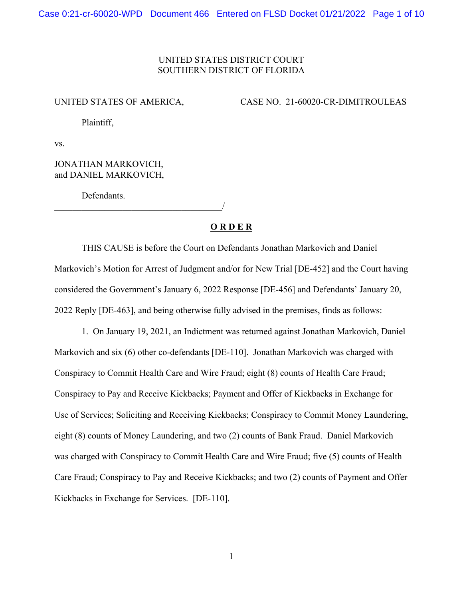## UNITED STATES DISTRICT COURT SOUTHERN DISTRICT OF FLORIDA

UNITED STATES OF AMERICA, CASE NO. 21-60020-CR-DIMITROULEAS

Plaintiff,

vs.

## JONATHAN MARKOVICH, and DANIEL MARKOVICH,

Defendants.

\_\_\_\_\_\_\_\_\_\_\_\_\_\_\_\_\_\_\_\_\_\_\_\_\_\_\_\_\_\_\_\_\_\_\_\_\_/

## **O R D E R**

THIS CAUSE is before the Court on Defendants Jonathan Markovich and Daniel Markovich's Motion for Arrest of Judgment and/or for New Trial [DE-452] and the Court having considered the Government's January 6, 2022 Response [DE-456] and Defendants' January 20, 2022 Reply [DE-463], and being otherwise fully advised in the premises, finds as follows:

1. On January 19, 2021, an Indictment was returned against Jonathan Markovich, Daniel Markovich and six (6) other co-defendants [DE-110]. Jonathan Markovich was charged with Conspiracy to Commit Health Care and Wire Fraud; eight (8) counts of Health Care Fraud; Conspiracy to Pay and Receive Kickbacks; Payment and Offer of Kickbacks in Exchange for Use of Services; Soliciting and Receiving Kickbacks; Conspiracy to Commit Money Laundering, eight (8) counts of Money Laundering, and two (2) counts of Bank Fraud. Daniel Markovich was charged with Conspiracy to Commit Health Care and Wire Fraud; five (5) counts of Health Care Fraud; Conspiracy to Pay and Receive Kickbacks; and two (2) counts of Payment and Offer Kickbacks in Exchange for Services. [DE-110].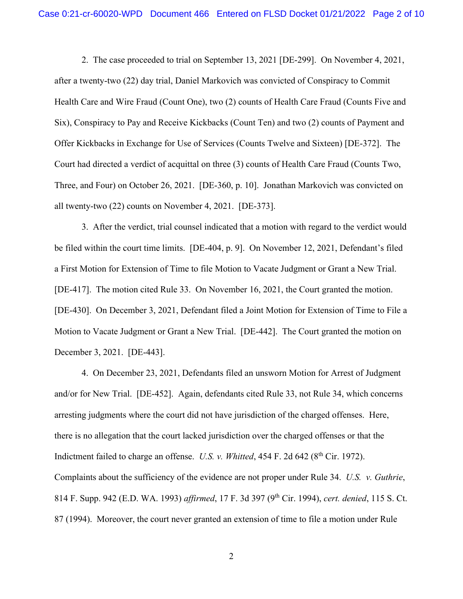2. The case proceeded to trial on September 13, 2021 [DE-299]. On November 4, 2021, after a twenty-two (22) day trial, Daniel Markovich was convicted of Conspiracy to Commit Health Care and Wire Fraud (Count One), two (2) counts of Health Care Fraud (Counts Five and Six), Conspiracy to Pay and Receive Kickbacks (Count Ten) and two (2) counts of Payment and Offer Kickbacks in Exchange for Use of Services (Counts Twelve and Sixteen) [DE-372]. The Court had directed a verdict of acquittal on three (3) counts of Health Care Fraud (Counts Two, Three, and Four) on October 26, 2021. [DE-360, p. 10]. Jonathan Markovich was convicted on all twenty-two (22) counts on November 4, 2021. [DE-373].

3. After the verdict, trial counsel indicated that a motion with regard to the verdict would be filed within the court time limits. [DE-404, p. 9]. On November 12, 2021, Defendant's filed a First Motion for Extension of Time to file Motion to Vacate Judgment or Grant a New Trial. [DE-417]. The motion cited Rule 33. On November 16, 2021, the Court granted the motion. [DE-430]. On December 3, 2021, Defendant filed a Joint Motion for Extension of Time to File a Motion to Vacate Judgment or Grant a New Trial. [DE-442]. The Court granted the motion on December 3, 2021. [DE-443].

4. On December 23, 2021, Defendants filed an unsworn Motion for Arrest of Judgment and/or for New Trial. [DE-452]. Again, defendants cited Rule 33, not Rule 34, which concerns arresting judgments where the court did not have jurisdiction of the charged offenses. Here, there is no allegation that the court lacked jurisdiction over the charged offenses or that the Indictment failed to charge an offense. *U.S. v. Whitted*, 454 F. 2d 642 (8<sup>th</sup> Cir. 1972). Complaints about the sufficiency of the evidence are not proper under Rule 34. *U.S. v. Guthrie*, 814 F. Supp. 942 (E.D. WA. 1993) *affirmed*, 17 F. 3d 397 (9th Cir. 1994), *cert. denied*, 115 S. Ct. 87 (1994). Moreover, the court never granted an extension of time to file a motion under Rule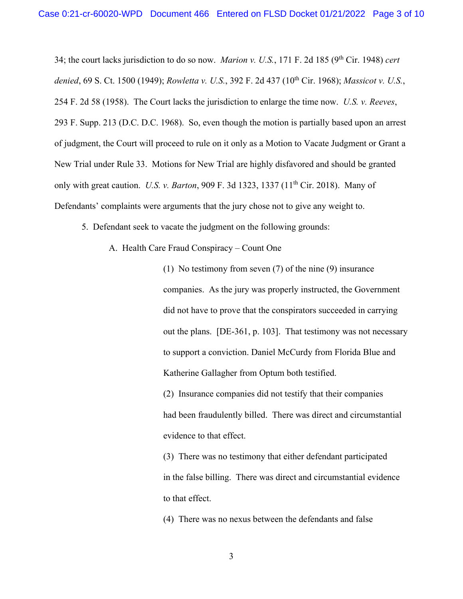34; the court lacks jurisdiction to do so now. *Marion v. U.S.*, 171 F. 2d 185 (9th Cir. 1948) *cert denied*, 69 S. Ct. 1500 (1949); *Rowletta v. U.S.*, 392 F. 2d 437 (10th Cir. 1968); *Massicot v. U.S.*, 254 F. 2d 58 (1958). The Court lacks the jurisdiction to enlarge the time now. *U.S. v. Reeves*, 293 F. Supp. 213 (D.C. D.C. 1968). So, even though the motion is partially based upon an arrest of judgment, the Court will proceed to rule on it only as a Motion to Vacate Judgment or Grant a New Trial under Rule 33. Motions for New Trial are highly disfavored and should be granted only with great caution. *U.S. v. Barton*, 909 F. 3d 1323, 1337 (11<sup>th</sup> Cir. 2018). Many of Defendants' complaints were arguments that the jury chose not to give any weight to.

- 5. Defendant seek to vacate the judgment on the following grounds:
	- A. Health Care Fraud Conspiracy Count One

(1) No testimony from seven (7) of the nine (9) insurance companies. As the jury was properly instructed, the Government did not have to prove that the conspirators succeeded in carrying out the plans. [DE-361, p. 103]. That testimony was not necessary to support a conviction. Daniel McCurdy from Florida Blue and Katherine Gallagher from Optum both testified.

(2) Insurance companies did not testify that their companies had been fraudulently billed. There was direct and circumstantial evidence to that effect.

(3) There was no testimony that either defendant participated in the false billing. There was direct and circumstantial evidence to that effect.

(4) There was no nexus between the defendants and false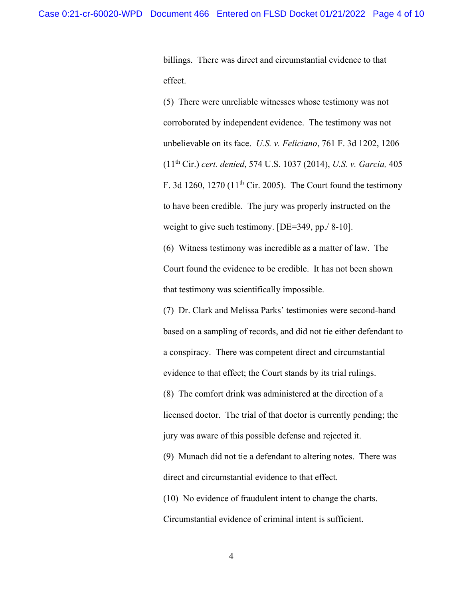billings. There was direct and circumstantial evidence to that effect.

(5) There were unreliable witnesses whose testimony was not corroborated by independent evidence. The testimony was not unbelievable on its face. *U.S. v. Feliciano*, 761 F. 3d 1202, 1206 (11th Cir.) *cert. denied*, 574 U.S. 1037 (2014), *U.S. v. Garcia,* 405 F. 3d 1260, 1270 ( $11<sup>th</sup>$  Cir. 2005). The Court found the testimony to have been credible. The jury was properly instructed on the weight to give such testimony. [DE=349, pp./8-10].

(6) Witness testimony was incredible as a matter of law. The Court found the evidence to be credible. It has not been shown that testimony was scientifically impossible.

(7) Dr. Clark and Melissa Parks' testimonies were second-hand based on a sampling of records, and did not tie either defendant to a conspiracy. There was competent direct and circumstantial evidence to that effect; the Court stands by its trial rulings. (8) The comfort drink was administered at the direction of a licensed doctor. The trial of that doctor is currently pending; the jury was aware of this possible defense and rejected it.

(9) Munach did not tie a defendant to altering notes. There was direct and circumstantial evidence to that effect.

(10) No evidence of fraudulent intent to change the charts. Circumstantial evidence of criminal intent is sufficient.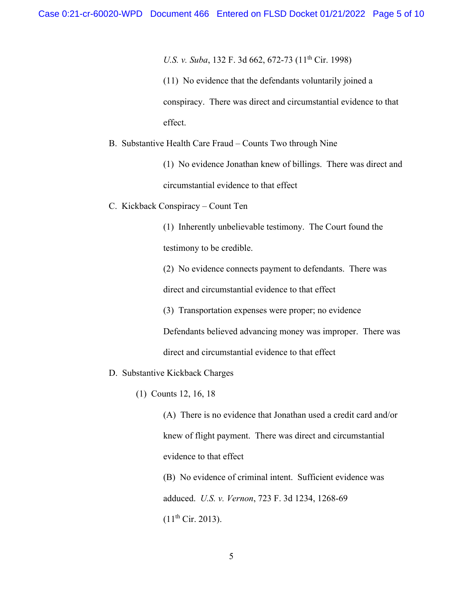*U.S. v. Suba*, 132 F. 3d 662, 672-73 (11<sup>th</sup> Cir. 1998)

(11) No evidence that the defendants voluntarily joined a conspiracy. There was direct and circumstantial evidence to that effect.

B. Substantive Health Care Fraud – Counts Two through Nine

(1) No evidence Jonathan knew of billings. There was direct and circumstantial evidence to that effect

C. Kickback Conspiracy – Count Ten

(1) Inherently unbelievable testimony. The Court found the testimony to be credible.

(2) No evidence connects payment to defendants. There was

direct and circumstantial evidence to that effect

(3) Transportation expenses were proper; no evidence Defendants believed advancing money was improper. There was direct and circumstantial evidence to that effect

- D. Substantive Kickback Charges
	- (1) Counts 12, 16, 18

(A) There is no evidence that Jonathan used a credit card and/or knew of flight payment. There was direct and circumstantial evidence to that effect

(B) No evidence of criminal intent. Sufficient evidence was adduced. *U.S. v. Vernon*, 723 F. 3d 1234, 1268-69  $(11<sup>th</sup> Cir. 2013).$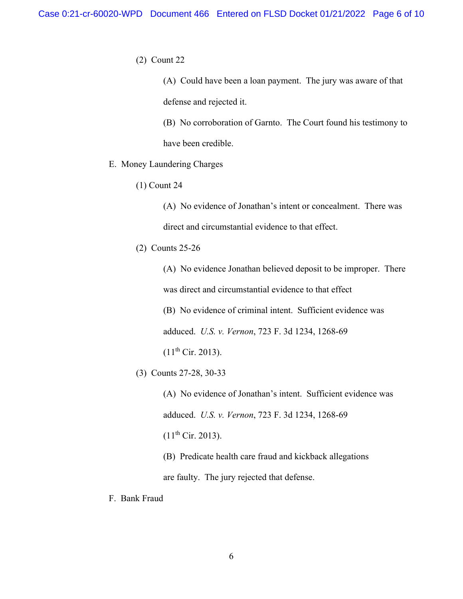(2) Count 22

(A) Could have been a loan payment. The jury was aware of that defense and rejected it.

(B) No corroboration of Garnto. The Court found his testimony to have been credible.

- E. Money Laundering Charges
	- (1) Count 24

(A) No evidence of Jonathan's intent or concealment. There was direct and circumstantial evidence to that effect.

(2) Counts 25-26

(A) No evidence Jonathan believed deposit to be improper. There was direct and circumstantial evidence to that effect

(B) No evidence of criminal intent. Sufficient evidence was

adduced. *U.S. v. Vernon*, 723 F. 3d 1234, 1268-69

 $(11<sup>th</sup> Cir. 2013).$ 

(3) Counts 27-28, 30-33

(A) No evidence of Jonathan's intent. Sufficient evidence was adduced. *U.S. v. Vernon*, 723 F. 3d 1234, 1268-69  $(11<sup>th</sup> Cir. 2013).$ 

(B) Predicate health care fraud and kickback allegations

are faulty. The jury rejected that defense.

F. Bank Fraud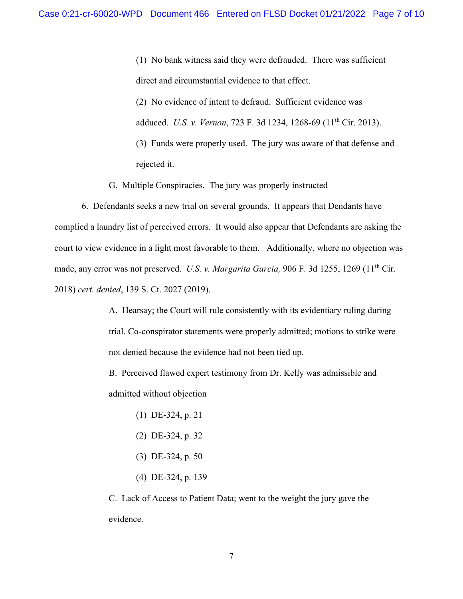(1) No bank witness said they were defrauded. There was sufficient direct and circumstantial evidence to that effect. (2) No evidence of intent to defraud. Sufficient evidence was adduced. *U.S. v. Vernon*, 723 F. 3d 1234, 1268-69 (11th Cir. 2013). (3) Funds were properly used. The jury was aware of that defense and rejected it.

G. Multiple Conspiracies. The jury was properly instructed

6. Defendants seeks a new trial on several grounds. It appears that Dendants have complied a laundry list of perceived errors. It would also appear that Defendants are asking the court to view evidence in a light most favorable to them. Additionally, where no objection was made, any error was not preserved. U.S. v. Margarita Garcia, 906 F. 3d 1255, 1269 (11<sup>th</sup> Cir. 2018) *cert. denied*, 139 S. Ct. 2027 (2019).

> A. Hearsay; the Court will rule consistently with its evidentiary ruling during trial. Co-conspirator statements were properly admitted; motions to strike were not denied because the evidence had not been tied up.

B. Perceived flawed expert testimony from Dr. Kelly was admissible and admitted without objection

- (1) DE-324, p. 21
- (2) DE-324, p. 32
- (3) DE-324, p. 50
- (4) DE-324, p. 139

C. Lack of Access to Patient Data; went to the weight the jury gave the evidence.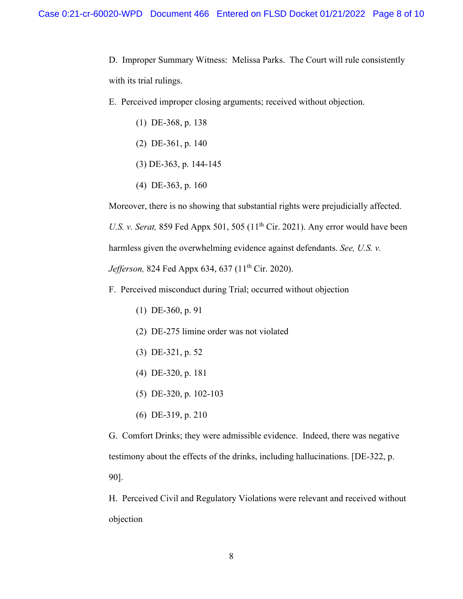D. Improper Summary Witness: Melissa Parks. The Court will rule consistently with its trial rulings.

E. Perceived improper closing arguments; received without objection.

- (1) DE-368, p. 138
- (2) DE-361, p. 140
- (3) DE-363, p. 144-145
- (4) DE-363, p. 160

Moreover, there is no showing that substantial rights were prejudicially affected.

*U.S. v. Serat, 859 Fed Appx 501, 505 (11<sup>th</sup> Cir. 2021). Any error would have been* 

harmless given the overwhelming evidence against defendants. *See, U.S. v.* 

*Jefferson, 824 Fed Appx 634, 637 (11<sup>th</sup> Cir. 2020).* 

- F. Perceived misconduct during Trial; occurred without objection
	- (1) DE-360, p. 91
	- (2) DE-275 limine order was not violated
	- (3) DE-321, p. 52
	- (4) DE-320, p. 181
	- (5) DE-320, p. 102-103
	- (6) DE-319, p. 210

G. Comfort Drinks; they were admissible evidence. Indeed, there was negative testimony about the effects of the drinks, including hallucinations. [DE-322, p. 90].

H. Perceived Civil and Regulatory Violations were relevant and received without objection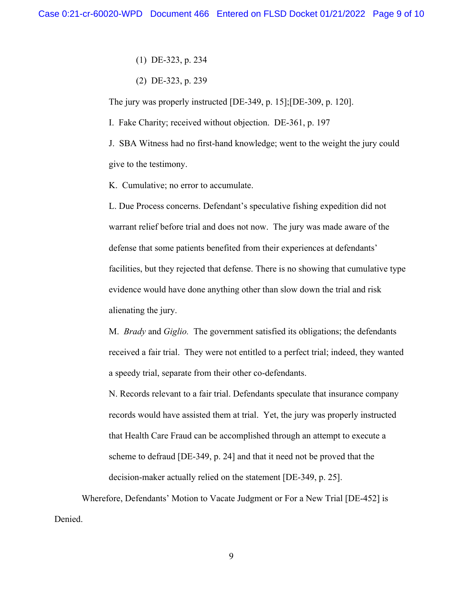(1) DE-323, p. 234

(2) DE-323, p. 239

The jury was properly instructed [DE-349, p. 15];[DE-309, p. 120].

I. Fake Charity; received without objection. DE-361, p. 197

J. SBA Witness had no first-hand knowledge; went to the weight the jury could give to the testimony.

K. Cumulative; no error to accumulate.

L. Due Process concerns. Defendant's speculative fishing expedition did not warrant relief before trial and does not now. The jury was made aware of the defense that some patients benefited from their experiences at defendants' facilities, but they rejected that defense. There is no showing that cumulative type evidence would have done anything other than slow down the trial and risk alienating the jury.

M. *Brady* and *Giglio.* The government satisfied its obligations; the defendants received a fair trial. They were not entitled to a perfect trial; indeed, they wanted a speedy trial, separate from their other co-defendants.

N. Records relevant to a fair trial. Defendants speculate that insurance company records would have assisted them at trial. Yet, the jury was properly instructed that Health Care Fraud can be accomplished through an attempt to execute a scheme to defraud [DE-349, p. 24] and that it need not be proved that the decision-maker actually relied on the statement [DE-349, p. 25].

Wherefore, Defendants' Motion to Vacate Judgment or For a New Trial [DE-452] is Denied.